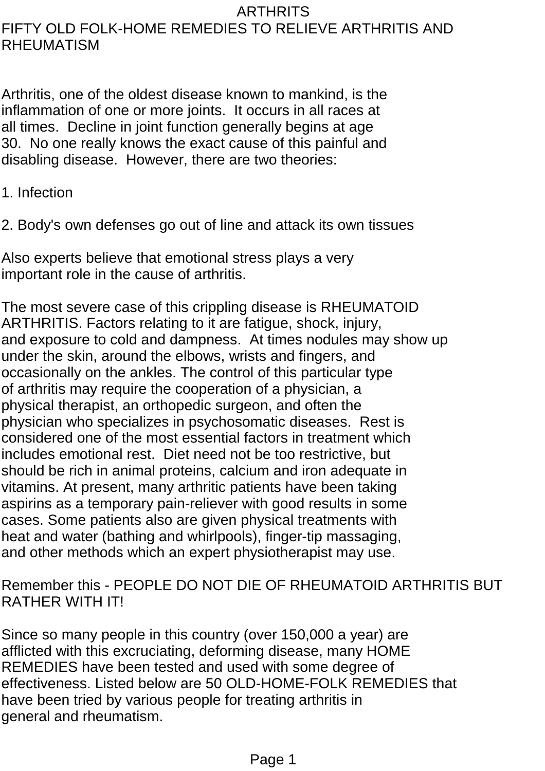#### ARTHRITS FIFTY OLD FOLK-HOME REMEDIES TO RELIEVE ARTHRITIS AND RHEUMATISM

Arthritis, one of the oldest disease known to mankind, is the inflammation of one or more joints. It occurs in all races at all times. Decline in joint function generally begins at age 30. No one really knows the exact cause of this painful and disabling disease. However, there are two theories:

1. Infection

2. Body's own defenses go out of line and attack its own tissues

Also experts believe that emotional stress plays a very important role in the cause of arthritis.

The most severe case of this crippling disease is RHEUMATOID ARTHRITIS. Factors relating to it are fatigue, shock, injury, and exposure to cold and dampness. At times nodules may show up under the skin, around the elbows, wrists and fingers, and occasionally on the ankles. The control of this particular type of arthritis may require the cooperation of a physician, a physical therapist, an orthopedic surgeon, and often the physician who specializes in psychosomatic diseases. Rest is considered one of the most essential factors in treatment which includes emotional rest. Diet need not be too restrictive, but should be rich in animal proteins, calcium and iron adequate in vitamins. At present, many arthritic patients have been taking aspirins as a temporary pain-reliever with good results in some cases. Some patients also are given physical treatments with heat and water (bathing and whirlpools), finger-tip massaging, and other methods which an expert physiotherapist may use.

# Remember this - PEOPLE DO NOT DIE OF RHEUMATOID ARTHRITIS BUT RATHER WITH IT!

Since so many people in this country (over 150,000 a year) are afflicted with this excruciating, deforming disease, many HOME REMEDIES have been tested and used with some degree of effectiveness. Listed below are 50 OLD-HOME-FOLK REMEDIES that have been tried by various people for treating arthritis in general and rheumatism.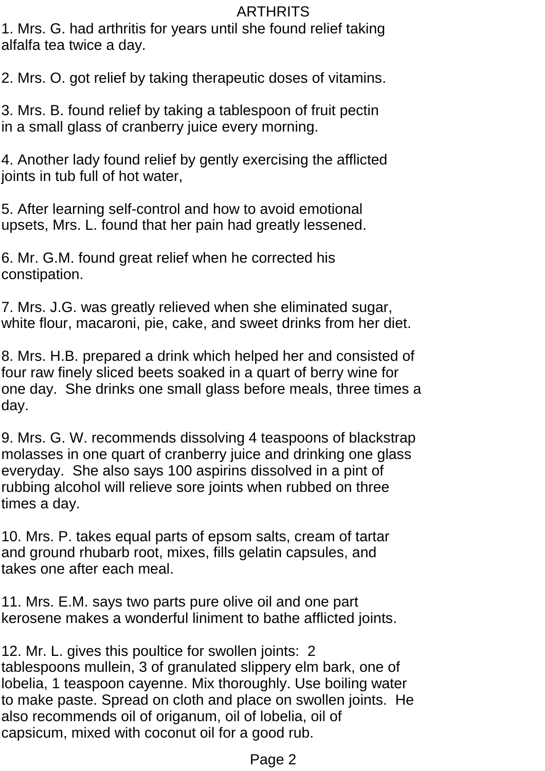1. Mrs. G. had arthritis for years until she found relief taking alfalfa tea twice a day.

2. Mrs. O. got relief by taking therapeutic doses of vitamins.

3. Mrs. B. found relief by taking a tablespoon of fruit pectin in a small glass of cranberry juice every morning.

4. Another lady found relief by gently exercising the afflicted joints in tub full of hot water,

5. After learning self-control and how to avoid emotional upsets, Mrs. L. found that her pain had greatly lessened.

6. Mr. G.M. found great relief when he corrected his constipation.

7. Mrs. J.G. was greatly relieved when she eliminated sugar, white flour, macaroni, pie, cake, and sweet drinks from her diet.

8. Mrs. H.B. prepared a drink which helped her and consisted of four raw finely sliced beets soaked in a quart of berry wine for one day. She drinks one small glass before meals, three times a day.

9. Mrs. G. W. recommends dissolving 4 teaspoons of blackstrap molasses in one quart of cranberry juice and drinking one glass everyday. She also says 100 aspirins dissolved in a pint of rubbing alcohol will relieve sore joints when rubbed on three times a day.

10. Mrs. P. takes equal parts of epsom salts, cream of tartar and ground rhubarb root, mixes, fills gelatin capsules, and takes one after each meal.

11. Mrs. E.M. says two parts pure olive oil and one part kerosene makes a wonderful liniment to bathe afflicted joints.

12. Mr. L. gives this poultice for swollen joints: 2 tablespoons mullein, 3 of granulated slippery elm bark, one of lobelia, 1 teaspoon cayenne. Mix thoroughly. Use boiling water to make paste. Spread on cloth and place on swollen joints. He also recommends oil of origanum, oil of lobelia, oil of capsicum, mixed with coconut oil for a good rub.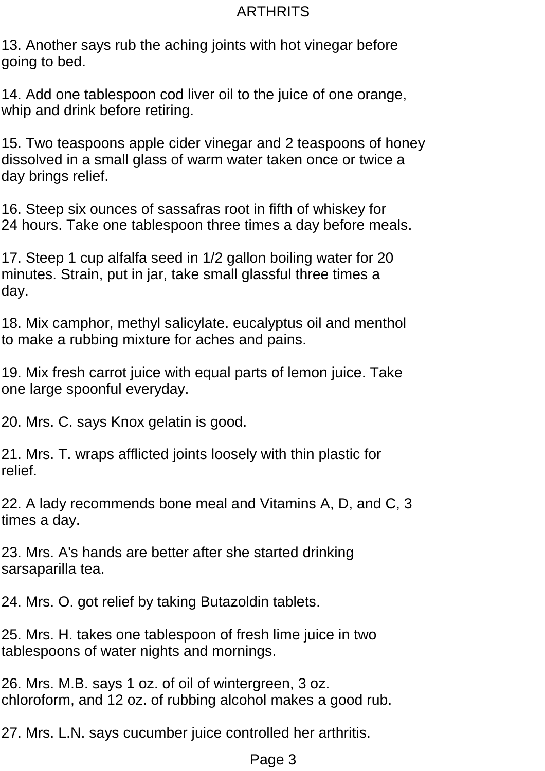13. Another says rub the aching joints with hot vinegar before going to bed.

14. Add one tablespoon cod liver oil to the juice of one orange, whip and drink before retiring.

15. Two teaspoons apple cider vinegar and 2 teaspoons of honey dissolved in a small glass of warm water taken once or twice a day brings relief.

16. Steep six ounces of sassafras root in fifth of whiskey for 24 hours. Take one tablespoon three times a day before meals.

17. Steep 1 cup alfalfa seed in 1/2 gallon boiling water for 20 minutes. Strain, put in jar, take small glassful three times a day.

18. Mix camphor, methyl salicylate. eucalyptus oil and menthol to make a rubbing mixture for aches and pains.

19. Mix fresh carrot juice with equal parts of lemon juice. Take one large spoonful everyday.

20. Mrs. C. says Knox gelatin is good.

21. Mrs. T. wraps afflicted joints loosely with thin plastic for relief.

22. A lady recommends bone meal and Vitamins A, D, and C, 3 times a day.

23. Mrs. A's hands are better after she started drinking sarsaparilla tea.

24. Mrs. O. got relief by taking Butazoldin tablets.

25. Mrs. H. takes one tablespoon of fresh lime juice in two tablespoons of water nights and mornings.

26. Mrs. M.B. says 1 oz. of oil of wintergreen, 3 oz. chloroform, and 12 oz. of rubbing alcohol makes a good rub.

27. Mrs. L.N. says cucumber juice controlled her arthritis.

#### Page 3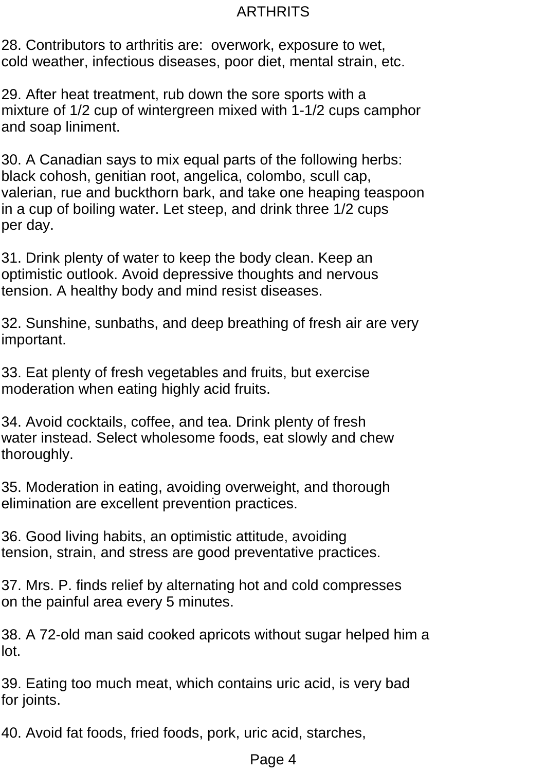28. Contributors to arthritis are: overwork, exposure to wet, cold weather, infectious diseases, poor diet, mental strain, etc.

29. After heat treatment, rub down the sore sports with a mixture of 1/2 cup of wintergreen mixed with 1-1/2 cups camphor and soap liniment.

30. A Canadian says to mix equal parts of the following herbs: black cohosh, genitian root, angelica, colombo, scull cap, valerian, rue and buckthorn bark, and take one heaping teaspoon in a cup of boiling water. Let steep, and drink three 1/2 cups per day.

31. Drink plenty of water to keep the body clean. Keep an optimistic outlook. Avoid depressive thoughts and nervous tension. A healthy body and mind resist diseases.

32. Sunshine, sunbaths, and deep breathing of fresh air are very important.

33. Eat plenty of fresh vegetables and fruits, but exercise moderation when eating highly acid fruits.

34. Avoid cocktails, coffee, and tea. Drink plenty of fresh water instead. Select wholesome foods, eat slowly and chew thoroughly.

35. Moderation in eating, avoiding overweight, and thorough elimination are excellent prevention practices.

36. Good living habits, an optimistic attitude, avoiding tension, strain, and stress are good preventative practices.

37. Mrs. P. finds relief by alternating hot and cold compresses on the painful area every 5 minutes.

38. A 72-old man said cooked apricots without sugar helped him a lot.

39. Eating too much meat, which contains uric acid, is very bad for joints.

40. Avoid fat foods, fried foods, pork, uric acid, starches,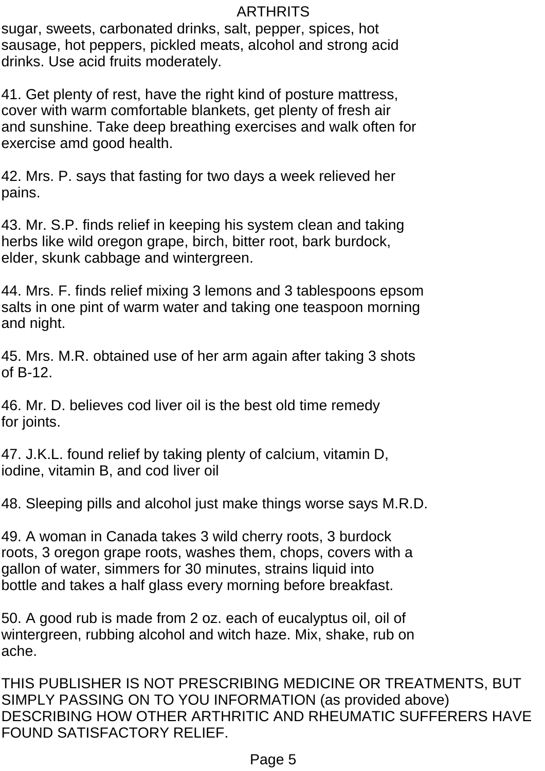sugar, sweets, carbonated drinks, salt, pepper, spices, hot sausage, hot peppers, pickled meats, alcohol and strong acid drinks. Use acid fruits moderately.

41. Get plenty of rest, have the right kind of posture mattress, cover with warm comfortable blankets, get plenty of fresh air and sunshine. Take deep breathing exercises and walk often for exercise amd good health.

42. Mrs. P. says that fasting for two days a week relieved her pains.

43. Mr. S.P. finds relief in keeping his system clean and taking herbs like wild oregon grape, birch, bitter root, bark burdock, elder, skunk cabbage and wintergreen.

44. Mrs. F. finds relief mixing 3 lemons and 3 tablespoons epsom salts in one pint of warm water and taking one teaspoon morning and night.

45. Mrs. M.R. obtained use of her arm again after taking 3 shots of B-12.

46. Mr. D. believes cod liver oil is the best old time remedy for joints.

47. J.K.L. found relief by taking plenty of calcium, vitamin D, iodine, vitamin B, and cod liver oil

48. Sleeping pills and alcohol just make things worse says M.R.D.

49. A woman in Canada takes 3 wild cherry roots, 3 burdock roots, 3 oregon grape roots, washes them, chops, covers with a gallon of water, simmers for 30 minutes, strains liquid into bottle and takes a half glass every morning before breakfast.

50. A good rub is made from 2 oz. each of eucalyptus oil, oil of wintergreen, rubbing alcohol and witch haze. Mix, shake, rub on ache.

THIS PUBLISHER IS NOT PRESCRIBING MEDICINE OR TREATMENTS, BUT SIMPLY PASSING ON TO YOU INFORMATION (as provided above) DESCRIBING HOW OTHER ARTHRITIC AND RHEUMATIC SUFFERERS HAVE FOUND SATISFACTORY RELIEF.